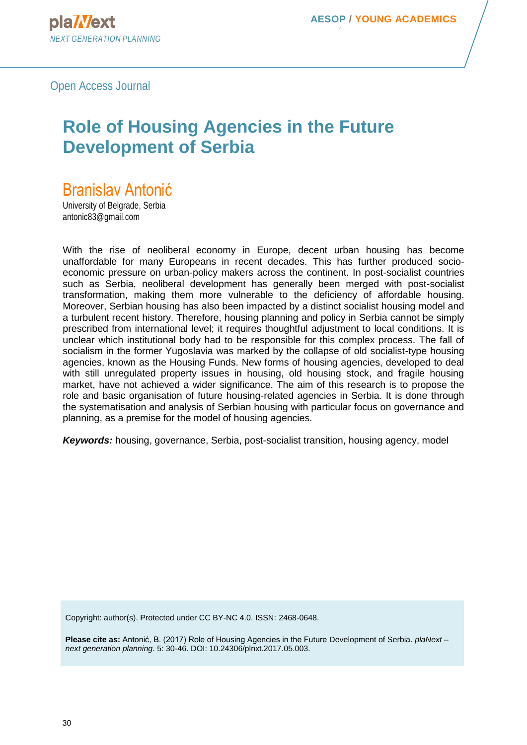Open Access Journal

# **Role of Housing Agencies in the Future Development of Serbia**

# Branislav Antonić

University of Belgrade, Serbia antonic83@gmail.com

With the rise of neoliberal economy in Europe, decent urban housing has become unaffordable for many Europeans in recent decades. This has further produced socioeconomic pressure on urban-policy makers across the continent. In post-socialist countries such as Serbia, neoliberal development has generally been merged with post-socialist transformation, making them more vulnerable to the deficiency of affordable housing. Moreover, Serbian housing has also been impacted by a distinct socialist housing model and a turbulent recent history. Therefore, housing planning and policy in Serbia cannot be simply prescribed from international level; it requires thoughtful adjustment to local conditions. It is unclear which institutional body had to be responsible for this complex process. The fall of socialism in the former Yugoslavia was marked by the collapse of old socialist-type housing agencies, known as the Housing Funds. New forms of housing agencies, developed to deal with still unregulated property issues in housing, old housing stock, and fragile housing market, have not achieved a wider significance. The aim of this research is to propose the role and basic organisation of future housing-related agencies in Serbia. It is done through the systematisation and analysis of Serbian housing with particular focus on governance and planning, as a premise for the model of housing agencies.

*Keywords:* housing, governance, Serbia, post-socialist transition, housing agency, model

Copyright: author(s). Protected under CC BY-NC 4.0. ISSN: 2468-0648.

**Please cite as:** Antonić, B. (2017) Role of Housing Agencies in the Future Development of Serbia. *plaNext – next generation planning*. 5: 30-46. DOI: [10.24306/plnxt.2017.05.003.](http://journals.aesop-planning.eu/volume-4/article-27/)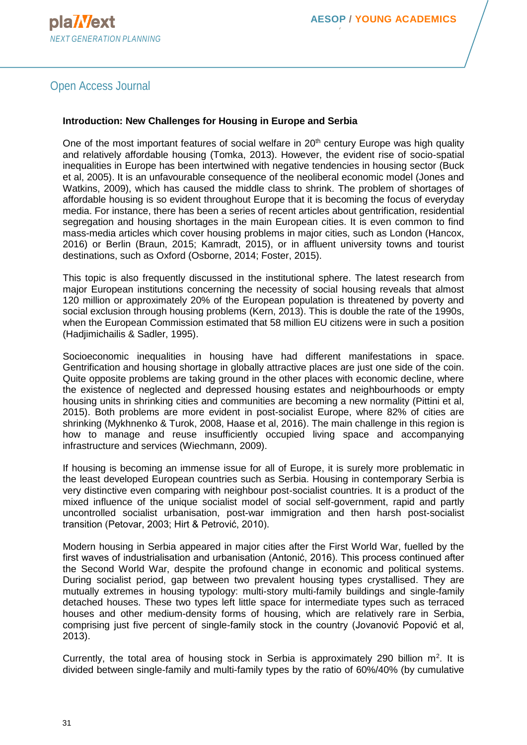# Open Access Journal

#### **Introduction: New Challenges for Housing in Europe and Serbia**

One of the most important features of social welfare in  $20<sup>th</sup>$  century Europe was high quality and relatively affordable housing (Tomka, 2013). However, the evident rise of socio-spatial inequalities in Europe has been intertwined with negative tendencies in housing sector (Buck et al, 2005). It is an unfavourable consequence of the neoliberal economic model (Jones and Watkins, 2009), which has caused the middle class to shrink. The problem of shortages of affordable housing is so evident throughout Europe that it is becoming the focus of everyday media. For instance, there has been a series of recent articles about gentrification, residential segregation and housing shortages in the main European cities. It is even common to find mass-media articles which cover housing problems in major cities, such as London (Hancox, 2016) or Berlin (Braun, 2015; Kamradt, 2015), or in affluent university towns and tourist destinations, such as Oxford (Osborne, 2014; Foster, 2015).

This topic is also frequently discussed in the institutional sphere. The latest research from major European institutions concerning the necessity of social housing reveals that almost 120 million or approximately 20% of the European population is threatened by poverty and social exclusion through housing problems (Kern, 2013). This is double the rate of the 1990s, when the European Commission estimated that 58 million EU citizens were in such a position (Hadjimichailis & Sadler, 1995).

Socioeconomic inequalities in housing have had different manifestations in space. Gentrification and housing shortage in globally attractive places are just one side of the coin. Quite opposite problems are taking ground in the other places with economic decline, where the existence of neglected and depressed housing estates and neighbourhoods or empty housing units in shrinking cities and communities are becoming a new normality (Pittini et al, 2015). Both problems are more evident in post-socialist Europe, where 82% of cities are shrinking (Mykhnenko & Turok, 2008, Haase et al, 2016). The main challenge in this region is how to manage and reuse insufficiently occupied living space and accompanying infrastructure and services (Wiechmann, 2009).

If housing is becoming an immense issue for all of Europe, it is surely more problematic in the least developed European countries such as Serbia. Housing in contemporary Serbia is very distinctive even comparing with neighbour post-socialist countries. It is a product of the mixed influence of the unique socialist model of social self-government, rapid and partly uncontrolled socialist urbanisation, post-war immigration and then harsh post-socialist transition (Petovar, 2003; Hirt & Petrović, 2010).

Modern housing in Serbia appeared in major cities after the First World War, fuelled by the first waves of industrialisation and urbanisation (Antonić, 2016). This process continued after the Second World War, despite the profound change in economic and political systems. During socialist period, gap between two prevalent housing types crystallised. They are mutually extremes in housing typology: multi-story multi-family buildings and single-family detached houses. These two types left little space for intermediate types such as terraced houses and other medium-density forms of housing, which are relatively rare in Serbia, comprising just five percent of single-family stock in the country (Jovanović Popović et al, 2013).

Currently, the total area of housing stock in Serbia is approximately 290 billion  $m^2$ . It is divided between single-family and multi-family types by the ratio of 60%/40% (by cumulative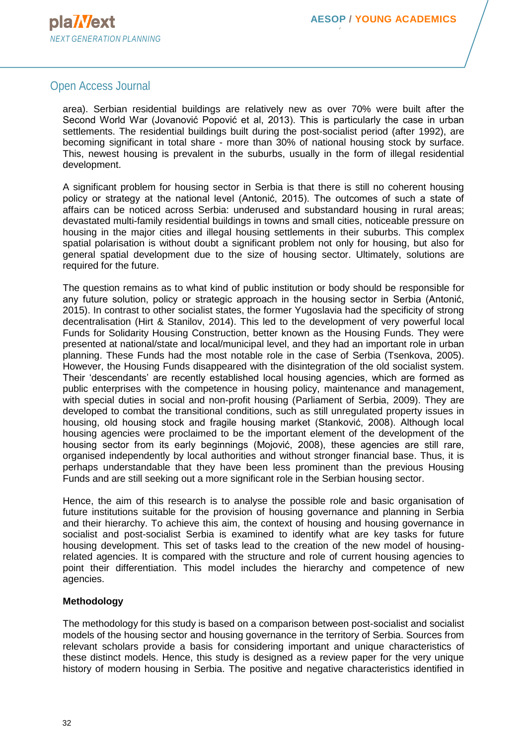## Open Access Journal

area). Serbian residential buildings are relatively new as over 70% were built after the Second World War (Jovanović Popović et al, 2013). This is particularly the case in urban settlements. The residential buildings built during the post-socialist period (after 1992), are becoming significant in total share - more than 30% of national housing stock by surface. This, newest housing is prevalent in the suburbs, usually in the form of illegal residential development.

A significant problem for housing sector in Serbia is that there is still no coherent housing policy or strategy at the national level (Antonić, 2015). The outcomes of such a state of affairs can be noticed across Serbia: underused and substandard housing in rural areas; devastated multi-family residential buildings in towns and small cities, noticeable pressure on housing in the major cities and illegal housing settlements in their suburbs. This complex spatial polarisation is without doubt a significant problem not only for housing, but also for general spatial development due to the size of housing sector. Ultimately, solutions are required for the future.

The question remains as to what kind of public institution or body should be responsible for any future solution, policy or strategic approach in the housing sector in Serbia (Antonić, 2015). In contrast to other socialist states, the former Yugoslavia had the specificity of strong decentralisation (Hirt & Stanilov, 2014). This led to the development of very powerful local Funds for Solidarity Housing Construction, better known as the Housing Funds. They were presented at national/state and local/municipal level, and they had an important role in urban planning. These Funds had the most notable role in the case of Serbia (Tsenkova, 2005). However, the Housing Funds disappeared with the disintegration of the old socialist system. Their 'descendants' are recently established local housing agencies, which are formed as public enterprises with the competence in housing policy, maintenance and management, with special duties in social and non-profit housing (Parliament of Serbia, 2009). They are developed to combat the transitional conditions, such as still unregulated property issues in housing, old housing stock and fragile housing market (Stanković, 2008). Although local housing agencies were proclaimed to be the important element of the development of the housing sector from its early beginnings (Mojović, 2008), these agencies are still rare, organised independently by local authorities and without stronger financial base. Thus, it is perhaps understandable that they have been less prominent than the previous Housing Funds and are still seeking out a more significant role in the Serbian housing sector.

Hence, the aim of this research is to analyse the possible role and basic organisation of future institutions suitable for the provision of housing governance and planning in Serbia and their hierarchy. To achieve this aim, the context of housing and housing governance in socialist and post-socialist Serbia is examined to identify what are key tasks for future housing development. This set of tasks lead to the creation of the new model of housingrelated agencies. It is compared with the structure and role of current housing agencies to point their differentiation. This model includes the hierarchy and competence of new agencies.

#### **Methodology**

The methodology for this study is based on a comparison between post-socialist and socialist models of the housing sector and housing governance in the territory of Serbia. Sources from relevant scholars provide a basis for considering important and unique characteristics of these distinct models. Hence, this study is designed as a review paper for the very unique history of modern housing in Serbia. The positive and negative characteristics identified in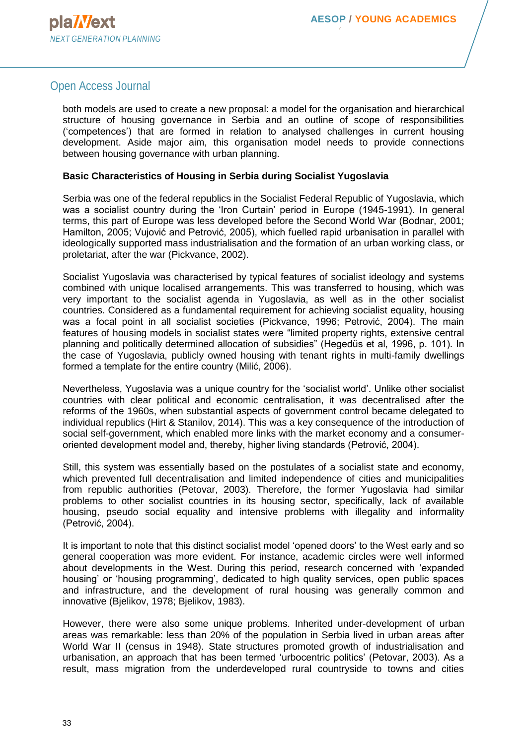## Open Access Journal

both models are used to create a new proposal: a model for the organisation and hierarchical structure of housing governance in Serbia and an outline of scope of responsibilities ('competences') that are formed in relation to analysed challenges in current housing development. Aside major aim, this organisation model needs to provide connections between housing governance with urban planning.

#### **Basic Characteristics of Housing in Serbia during Socialist Yugoslavia**

Serbia was one of the federal republics in the Socialist Federal Republic of Yugoslavia, which was a socialist country during the 'Iron Curtain' period in Europe (1945-1991). In general terms, this part of Europe was less developed before the Second World War (Bodnar, 2001; Hamilton, 2005; Vujović and Petrović, 2005), which fuelled rapid urbanisation in parallel with ideologically supported mass industrialisation and the formation of an urban working class, or proletariat, after the war (Pickvance, 2002).

Socialist Yugoslavia was characterised by typical features of socialist ideology and systems combined with unique localised arrangements. This was transferred to housing, which was very important to the socialist agenda in Yugoslavia, as well as in the other socialist countries. Considered as a fundamental requirement for achieving socialist equality, housing was a focal point in all socialist societies (Pickvance, 1996; Petrović, 2004). The main features of housing models in socialist states were "limited property rights, extensive central planning and politically determined allocation of subsidies" (Hegedüs et al, 1996, p. 101). In the case of Yugoslavia, publicly owned housing with tenant rights in multi-family dwellings formed a template for the entire country (Milić, 2006).

Nevertheless, Yugoslavia was a unique country for the 'socialist world'. Unlike other socialist countries with clear political and economic centralisation, it was decentralised after the reforms of the 1960s, when substantial aspects of government control became delegated to individual republics (Hirt & Stanilov, 2014). This was a key consequence of the introduction of social self-government, which enabled more links with the market economy and a consumeroriented development model and, thereby, higher living standards (Petrović, 2004).

Still, this system was essentially based on the postulates of a socialist state and economy, which prevented full decentralisation and limited independence of cities and municipalities from republic authorities (Petovar, 2003). Therefore, the former Yugoslavia had similar problems to other socialist countries in its housing sector, specifically, lack of available housing, pseudo social equality and intensive problems with illegality and informality (Petrović, 2004).

It is important to note that this distinct socialist model 'opened doors' to the West early and so general cooperation was more evident. For instance, academic circles were well informed about developments in the West. During this period, research concerned with 'expanded housing' or 'housing programming', dedicated to high quality services, open public spaces and infrastructure, and the development of rural housing was generally common and innovative (Bjelikov, 1978; Bjelikov, 1983).

However, there were also some unique problems. Inherited under-development of urban areas was remarkable: less than 20% of the population in Serbia lived in urban areas after World War II (census in 1948). State structures promoted growth of industrialisation and urbanisation, an approach that has been termed 'urbocentric politics' (Petovar, 2003). As a result, mass migration from the underdeveloped rural countryside to towns and cities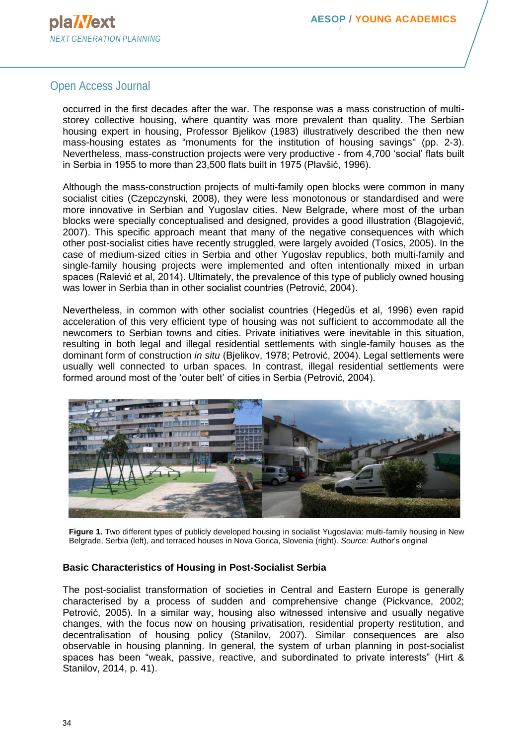## Open Access Journal

occurred in the first decades after the war. The response was a mass construction of multistorey collective housing, where quantity was more prevalent than quality. The Serbian housing expert in housing, Professor Bjelikov (1983) illustratively described the then new mass-housing estates as "monuments for the institution of housing savings" (pp. 2-3). Nevertheless, mass-construction projects were very productive - from 4,700 'social' flats built in Serbia in 1955 to more than 23,500 flats built in 1975 (Plavšić, 1996).

Although the mass-construction projects of multi-family open blocks were common in many socialist cities (Czepczynski, 2008), they were less monotonous or standardised and were more innovative in Serbian and Yugoslav cities. New Belgrade, where most of the urban blocks were specially conceptualised and designed, provides a good illustration (Blagojević, 2007). This specific approach meant that many of the negative consequences with which other post-socialist cities have recently struggled, were largely avoided (Tosics, 2005). In the case of medium-sized cities in Serbia and other Yugoslav republics, both multi-family and single-family housing projects were implemented and often intentionally mixed in urban spaces (Ralević et al, 2014). Ultimately, the prevalence of this type of publicly owned housing was lower in Serbia than in other socialist countries (Petrović, 2004).

Nevertheless, in common with other socialist countries (Hegedüs et al, 1996) even rapid acceleration of this very efficient type of housing was not sufficient to accommodate all the newcomers to Serbian towns and cities. Private initiatives were inevitable in this situation, resulting in both legal and illegal residential settlements with single-family houses as the dominant form of construction *in situ* (Bjelikov, 1978; Petrović, 2004). Legal settlements were usually well connected to urban spaces. In contrast, illegal residential settlements were formed around most of the 'outer belt' of cities in Serbia (Petrović, 2004).



**Figure 1.** Two different types of publicly developed housing in socialist Yugoslavia: multi-family housing in New Belgrade, Serbia (left), and terraced houses in Nova Gorica, Slovenia (right). *Source:* Author's original

## **Basic Characteristics of Housing in Post-Socialist Serbia**

The post-socialist transformation of societies in Central and Eastern Europe is generally characterised by a process of sudden and comprehensive change (Pickvance, 2002; Petrović, 2005). In a similar way, housing also witnessed intensive and usually negative changes, with the focus now on housing privatisation, residential property restitution, and decentralisation of housing policy (Stanilov, 2007). Similar consequences are also observable in housing planning. In general, the system of urban planning in post-socialist spaces has been "weak, passive, reactive, and subordinated to private interests" (Hirt & Stanilov, 2014, p. 41).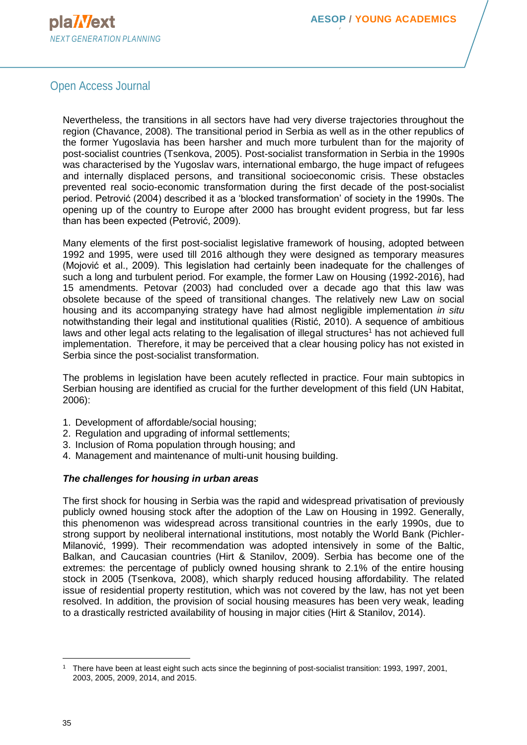# Open Access Journal

Nevertheless, the transitions in all sectors have had very diverse trajectories throughout the region (Chavance, 2008). The transitional period in Serbia as well as in the other republics of the former Yugoslavia has been harsher and much more turbulent than for the majority of post-socialist countries (Tsenkova, 2005). Post-socialist transformation in Serbia in the 1990s was characterised by the Yugoslav wars, international embargo, the huge impact of refugees and internally displaced persons, and transitional socioeconomic crisis. These obstacles prevented real socio-economic transformation during the first decade of the post-socialist period. Petrović (2004) described it as a 'blocked transformation' of society in the 1990s. The opening up of the country to Europe after 2000 has brought evident progress, but far less than has been expected (Petrović, 2009).

Many elements of the first post-socialist legislative framework of housing, adopted between 1992 and 1995, were used till 2016 although they were designed as temporary measures (Mojović et al., 2009). This legislation had certainly been inadequate for the challenges of such a long and turbulent period. For example, the former Law on Housing (1992-2016), had 15 amendments. Petovar (2003) had concluded over a decade ago that this law was obsolete because of the speed of transitional changes. The relatively new Law on social housing and its accompanying strategy have had almost negligible implementation *in situ* notwithstanding their legal and institutional qualities (Ristić, 2010). A sequence of ambitious laws and other legal acts relating to the legalisation of illegal structures<sup>1</sup> has not achieved full implementation. Therefore, it may be perceived that a clear housing policy has not existed in Serbia since the post-socialist transformation.

The problems in legislation have been acutely reflected in practice. Four main subtopics in Serbian housing are identified as crucial for the further development of this field (UN Habitat, 2006):

- 1. Development of affordable/social housing;
- 2. Regulation and upgrading of informal settlements;
- 3. Inclusion of Roma population through housing; and
- 4. Management and maintenance of multi-unit housing building.

#### *The challenges for housing in urban areas*

The first shock for housing in Serbia was the rapid and widespread privatisation of previously publicly owned housing stock after the adoption of the Law on Housing in 1992. Generally, this phenomenon was widespread across transitional countries in the early 1990s, due to strong support by neoliberal international institutions, most notably the World Bank (Pichler-Milanović, 1999). Their recommendation was adopted intensively in some of the Baltic, Balkan, and Caucasian countries (Hirt & Stanilov, 2009). Serbia has become one of the extremes: the percentage of publicly owned housing shrank to 2.1% of the entire housing stock in 2005 (Tsenkova, 2008), which sharply reduced housing affordability. The related issue of residential property restitution, which was not covered by the law, has not yet been resolved. In addition, the provision of social housing measures has been very weak, leading to a drastically restricted availability of housing in major cities (Hirt & Stanilov, 2014).

<sup>1</sup> There have been at least eight such acts since the beginning of post-socialist transition: 1993, 1997, 2001, 2003, 2005, 2009, 2014, and 2015.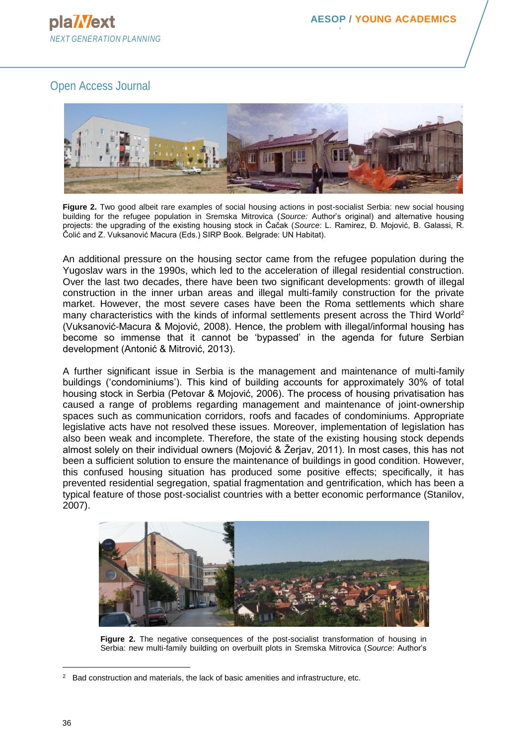# Open Access Journal



**Figure 2.** Two good albeit rare examples of social housing actions in post-socialist Serbia: new social housing building for the refugee population in Sremska Mitrovica (*Source:* Author's original) and alternative housing projects: the upgrading of the existing housing stock in Čačak (*Source*: L. Ramirez, Đ. Mojović, B. Galassi, R. Čolić and Z. Vuksanović Macura (Eds.) SIRP Book. Belgrade: UN Habitat).

An additional pressure on the housing sector came from the refugee population during the Yugoslav wars in the 1990s, which led to the acceleration of illegal residential construction. Over the last two decades, there have been two significant developments: growth of illegal construction in the inner urban areas and illegal multi-family construction for the private market. However, the most severe cases have been the Roma settlements which share many characteristics with the kinds of informal settlements present across the Third World<sup>2</sup> (Vuksanović-Macura & Mojović, 2008). Hence, the problem with illegal/informal housing has become so immense that it cannot be 'bypassed' in the agenda for future Serbian development (Antonić & Mitrović, 2013).

A further significant issue in Serbia is the management and maintenance of multi-family buildings ('condominiums'). This kind of building accounts for approximately 30% of total housing stock in Serbia (Petovar & Mojović, 2006). The process of housing privatisation has caused a range of problems regarding management and maintenance of joint-ownership spaces such as communication corridors, roofs and facades of condominiums. Appropriate legislative acts have not resolved these issues. Moreover, implementation of legislation has also been weak and incomplete. Therefore, the state of the existing housing stock depends almost solely on their individual owners (Mojović & Žerjav, 2011). In most cases, this has not been a sufficient solution to ensure the maintenance of buildings in good condition. However, this confused housing situation has produced some positive effects; specifically, it has prevented residential segregation, spatial fragmentation and gentrification, which has been a typical feature of those post-socialist countries with a better economic performance (Stanilov, 2007).



**Figure 2.** The negative consequences of the post-socialist transformation of housing in Serbia: new multi-family building on overbuilt plots in Sremska Mitrovica (*Source*: Author's

 $2$  Bad construction and materials, the lack of basic amenities and infrastructure, etc.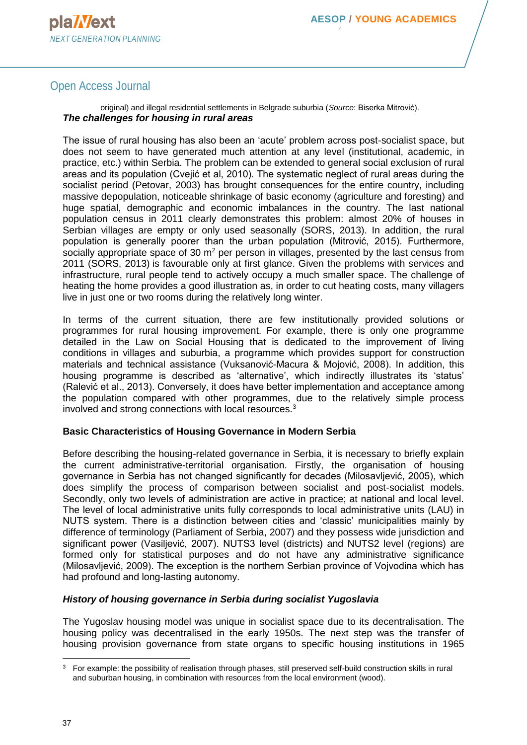# Open Access Journal

original) and illegal residential settlements in Belgrade suburbia (*Source*: Biserka Mitrović). *The challenges for housing in rural areas*

The issue of rural housing has also been an 'acute' problem across post-socialist space, but does not seem to have generated much attention at any level (institutional, academic, in practice, etc.) within Serbia. The problem can be extended to general social exclusion of rural areas and its population (Cvejić et al, 2010). The systematic neglect of rural areas during the socialist period (Petovar, 2003) has brought consequences for the entire country, including massive depopulation, noticeable shrinkage of basic economy (agriculture and foresting) and huge spatial, demographic and economic imbalances in the country. The last national population census in 2011 clearly demonstrates this problem: almost 20% of houses in Serbian villages are empty or only used seasonally (SORS, 2013). In addition, the rural population is generally poorer than the urban population (Mitrović, 2015). Furthermore, socially appropriate space of 30  $m<sup>2</sup>$  per person in villages, presented by the last census from 2011 (SORS, 2013) is favourable only at first glance. Given the problems with services and infrastructure, rural people tend to actively occupy a much smaller space. The challenge of heating the home provides a good illustration as, in order to cut heating costs, many villagers live in just one or two rooms during the relatively long winter.

In terms of the current situation, there are few institutionally provided solutions or programmes for rural housing improvement. For example, there is only one programme detailed in the Law on Social Housing that is dedicated to the improvement of living conditions in villages and suburbia, a programme which provides support for construction materials and technical assistance (Vuksanović-Macura & Mojović, 2008). In addition, this housing programme is described as 'alternative', which indirectly illustrates its 'status' (Ralević et al., 2013). Conversely, it does have better implementation and acceptance among the population compared with other programmes, due to the relatively simple process involved and strong connections with local resources.<sup>3</sup>

#### **Basic Characteristics of Housing Governance in Modern Serbia**

Before describing the housing-related governance in Serbia, it is necessary to briefly explain the current administrative-territorial organisation. Firstly, the organisation of housing governance in Serbia has not changed significantly for decades (Milosavljević, 2005), which does simplify the process of comparison between socialist and post-socialist models. Secondly, only two levels of administration are active in practice; at national and local level. The level of local administrative units fully corresponds to local administrative units (LAU) in NUTS system. There is a distinction between cities and 'classic' municipalities mainly by difference of terminology (Parliament of Serbia, 2007) and they possess wide jurisdiction and significant power (Vasiljević, 2007). NUTS3 level (districts) and NUTS2 level (regions) are formed only for statistical purposes and do not have any administrative significance (Milosavljević, 2009). The exception is the northern Serbian province of Vojvodina which has had profound and long-lasting autonomy.

## *History of housing governance in Serbia during socialist Yugoslavia*

The Yugoslav housing model was unique in socialist space due to its decentralisation. The housing policy was decentralised in the early 1950s. The next step was the transfer of housing provision governance from state organs to specific housing institutions in 1965

<sup>&</sup>lt;sup>3</sup> For example: the possibility of realisation through phases, still preserved self-build construction skills in rural and suburban housing, in combination with resources from the local environment (wood).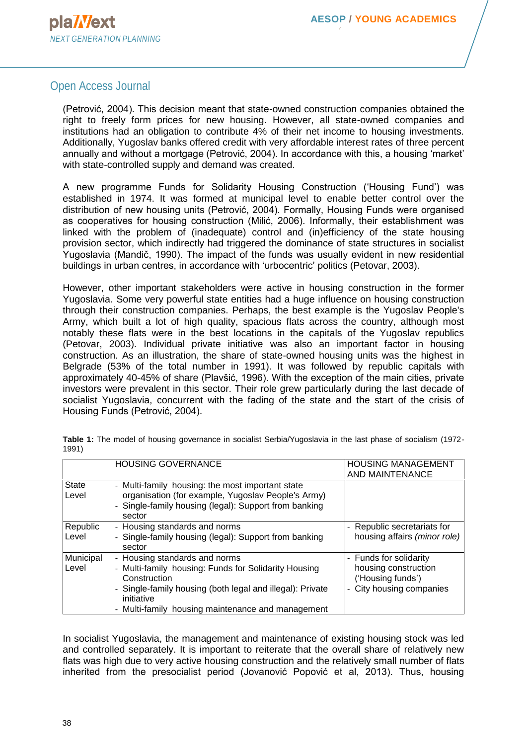## Open Access Journal

(Petrović, 2004). This decision meant that state-owned construction companies obtained the right to freely form prices for new housing. However, all state-owned companies and institutions had an obligation to contribute 4% of their net income to housing investments. Additionally, Yugoslav banks offered credit with very affordable interest rates of three percent annually and without a mortgage (Petrović, 2004). In accordance with this, a housing 'market' with state-controlled supply and demand was created.

A new programme Funds for Solidarity Housing Construction ('Housing Fund') was established in 1974. It was formed at municipal level to enable better control over the distribution of new housing units (Petrović, 2004). Formally, Housing Funds were organised as cooperatives for housing construction (Milić, 2006). Informally, their establishment was linked with the problem of (inadequate) control and (in)efficiency of the state housing provision sector, which indirectly had triggered the dominance of state structures in socialist Yugoslavia (Mandič, 1990). The impact of the funds was usually evident in new residential buildings in urban centres, in accordance with 'urbocentric' politics (Petovar, 2003).

However, other important stakeholders were active in housing construction in the former Yugoslavia. Some very powerful state entities had a huge influence on housing construction through their construction companies. Perhaps, the best example is the Yugoslav People's Army, which built a lot of high quality, spacious flats across the country, although most notably these flats were in the best locations in the capitals of the Yugoslav republics (Petovar, 2003). Individual private initiative was also an important factor in housing construction. As an illustration, the share of state-owned housing units was the highest in Belgrade (53% of the total number in 1991). It was followed by republic capitals with approximately 40-45% of share (Plavšić, 1996). With the exception of the main cities, private investors were prevalent in this sector. Their role grew particularly during the last decade of socialist Yugoslavia, concurrent with the fading of the state and the start of the crisis of Housing Funds (Petrović, 2004).

|                       | <b>HOUSING GOVERNANCE</b>                                                                                                                                                                                                           | <b>HOUSING MANAGEMENT</b><br>AND MAINTENANCE                                                  |
|-----------------------|-------------------------------------------------------------------------------------------------------------------------------------------------------------------------------------------------------------------------------------|-----------------------------------------------------------------------------------------------|
| <b>State</b><br>Level | - Multi-family housing: the most important state<br>organisation (for example, Yugoslav People's Army)<br>- Single-family housing (legal): Support from banking<br>sector                                                           |                                                                                               |
| Republic<br>Level     | - Housing standards and norms<br>Single-family housing (legal): Support from banking<br>sector                                                                                                                                      | Republic secretariats for<br>housing affairs (minor role)                                     |
| Municipal<br>Level    | - Housing standards and norms<br>- Multi-family housing: Funds for Solidarity Housing<br>Construction<br>Single-family housing (both legal and illegal): Private<br>initiative<br>- Multi-family housing maintenance and management | - Funds for solidarity<br>housing construction<br>('Housing funds')<br>City housing companies |

**Table 1:** The model of housing governance in socialist Serbia/Yugoslavia in the last phase of socialism (1972- 1991)

In socialist Yugoslavia, the management and maintenance of existing housing stock was led and controlled separately. It is important to reiterate that the overall share of relatively new flats was high due to very active housing construction and the relatively small number of flats inherited from the presocialist period (Jovanović Popović et al, 2013). Thus, housing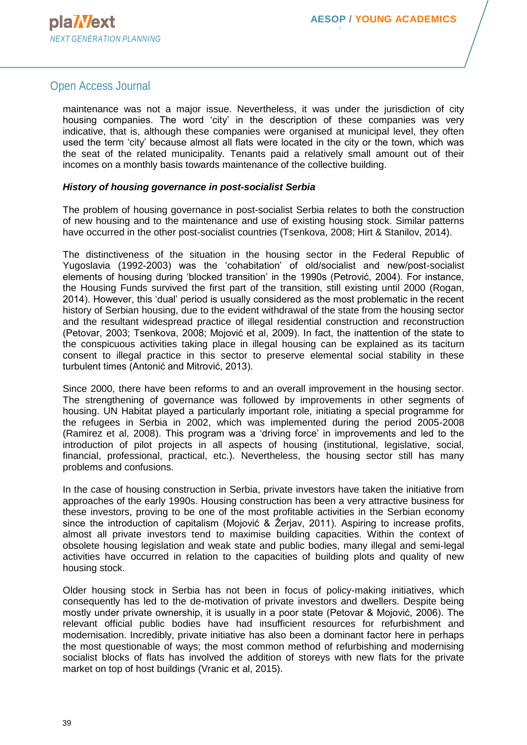## Open Access Journal

maintenance was not a major issue. Nevertheless, it was under the jurisdiction of city housing companies. The word 'city' in the description of these companies was very indicative, that is, although these companies were organised at municipal level, they often used the term 'city' because almost all flats were located in the city or the town, which was the seat of the related municipality. Tenants paid a relatively small amount out of their incomes on a monthly basis towards maintenance of the collective building.

#### *History of housing governance in post-socialist Serbia*

The problem of housing governance in post-socialist Serbia relates to both the construction of new housing and to the maintenance and use of existing housing stock. Similar patterns have occurred in the other post-socialist countries (Tsenkova, 2008; Hirt & Stanilov, 2014).

The distinctiveness of the situation in the housing sector in the Federal Republic of Yugoslavia (1992-2003) was the 'cohabitation' of old/socialist and new/post-socialist elements of housing during 'blocked transition' in the 1990s (Petrović, 2004). For instance, the Housing Funds survived the first part of the transition, still existing until 2000 (Rogan, 2014). However, this 'dual' period is usually considered as the most problematic in the recent history of Serbian housing, due to the evident withdrawal of the state from the housing sector and the resultant widespread practice of illegal residential construction and reconstruction (Petovar, 2003; Tsenkova, 2008; Mojović et al, 2009). In fact, the inattention of the state to the conspicuous activities taking place in illegal housing can be explained as its taciturn consent to illegal practice in this sector to preserve elemental social stability in these turbulent times (Antonić and Mitrović, 2013).

Since 2000, there have been reforms to and an overall improvement in the housing sector. The strengthening of governance was followed by improvements in other segments of housing. UN Habitat played a particularly important role, initiating a special programme for the refugees in Serbia in 2002, which was implemented during the period 2005-2008 (Ramirez et al, 2008). This program was a 'driving force' in improvements and led to the introduction of pilot projects in all aspects of housing (institutional, legislative, social, financial, professional, practical, etc.). Nevertheless, the housing sector still has many problems and confusions.

In the case of housing construction in Serbia, private investors have taken the initiative from approaches of the early 1990s. Housing construction has been a very attractive business for these investors, proving to be one of the most profitable activities in the Serbian economy since the introduction of capitalism (Mojović & Žerjav, 2011). Aspiring to increase profits, almost all private investors tend to maximise building capacities. Within the context of obsolete housing legislation and weak state and public bodies, many illegal and semi-legal activities have occurred in relation to the capacities of building plots and quality of new housing stock.

Older housing stock in Serbia has not been in focus of policy-making initiatives, which consequently has led to the de-motivation of private investors and dwellers. Despite being mostly under private ownership, it is usually in a poor state (Petovar & Mojović, 2006). The relevant official public bodies have had insufficient resources for refurbishment and modernisation. Incredibly, private initiative has also been a dominant factor here in perhaps the most questionable of ways; the most common method of refurbishing and modernising socialist blocks of flats has involved the addition of storeys with new flats for the private market on top of host buildings (Vranic et al, 2015).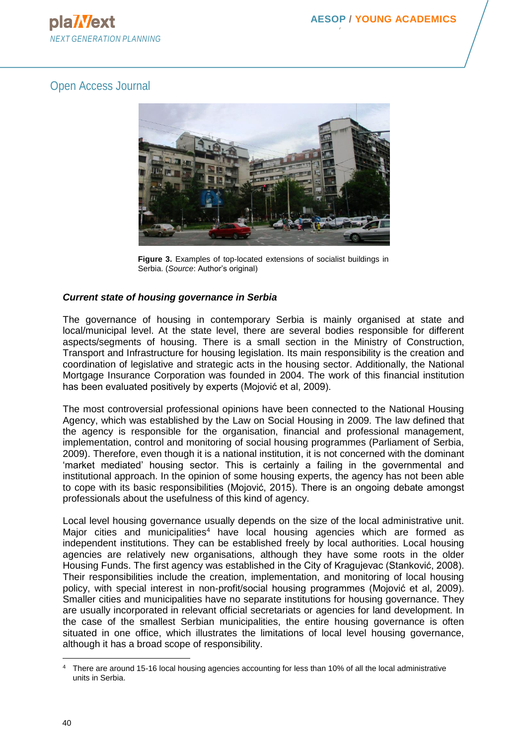# Open Access Journal



**Figure 3.** Examples of top-located extensions of socialist buildings in Serbia. (*Source*: Author's original)

## *Current state of housing governance in Serbia*

The governance of housing in contemporary Serbia is mainly organised at state and local/municipal level. At the state level, there are several bodies responsible for different aspects/segments of housing. There is a small section in the Ministry of Construction, Transport and Infrastructure for housing legislation. Its main responsibility is the creation and coordination of legislative and strategic acts in the housing sector. Additionally, the National Mortgage Insurance Corporation was founded in 2004. The work of this financial institution has been evaluated positively by experts (Mojović et al, 2009).

The most controversial professional opinions have been connected to the National Housing Agency, which was established by the Law on Social Housing in 2009. The law defined that the agency is responsible for the organisation, financial and professional management, implementation, control and monitoring of social housing programmes (Parliament of Serbia, 2009). Therefore, even though it is a national institution, it is not concerned with the dominant 'market mediated' housing sector. This is certainly a failing in the governmental and institutional approach. In the opinion of some housing experts, the agency has not been able to cope with its basic responsibilities (Mojović, 2015). There is an ongoing debate amongst professionals about the usefulness of this kind of agency.

Local level housing governance usually depends on the size of the local administrative unit. Major cities and municipalities<sup>4</sup> have local housing agencies which are formed as independent institutions. They can be established freely by local authorities. Local housing agencies are relatively new organisations, although they have some roots in the older Housing Funds. The first agency was established in the City of Kragujevac (Stanković, 2008). Their responsibilities include the creation, implementation, and monitoring of local housing policy, with special interest in non-profit/social housing programmes (Mojović et al, 2009). Smaller cities and municipalities have no separate institutions for housing governance. They are usually incorporated in relevant official secretariats or agencies for land development. In the case of the smallest Serbian municipalities, the entire housing governance is often situated in one office, which illustrates the limitations of local level housing governance, although it has a broad scope of responsibility.

<sup>4</sup> There are around 15-16 local housing agencies accounting for less than 10% of all the local administrative units in Serbia.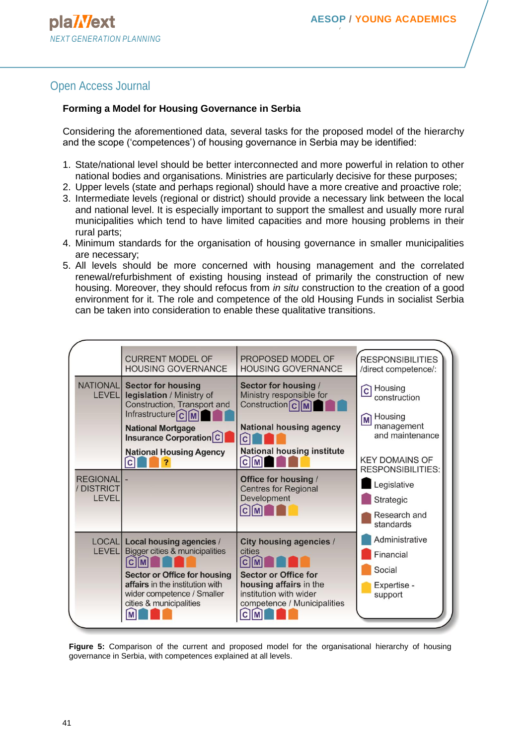# Open Access Journal

### **Forming a Model for Housing Governance in Serbia**

Considering the aforementioned data, several tasks for the proposed model of the hierarchy and the scope ('competences') of housing governance in Serbia may be identified:

- 1. State/national level should be better interconnected and more powerful in relation to other national bodies and organisations. Ministries are particularly decisive for these purposes;
- 2. Upper levels (state and perhaps regional) should have a more creative and proactive role;
- 3. Intermediate levels (regional or district) should provide a necessary link between the local and national level. It is especially important to support the smallest and usually more rural municipalities which tend to have limited capacities and more housing problems in their rural parts;
- 4. Minimum standards for the organisation of housing governance in smaller municipalities are necessary;
- 5. All levels should be more concerned with housing management and the correlated renewal/refurbishment of existing housing instead of primarily the construction of new housing. Moreover, they should refocus from *in situ* construction to the creation of a good environment for it. The role and competence of the old Housing Funds in socialist Serbia can be taken into consideration to enable these qualitative transitions.



**Figure 5:** Comparison of the current and proposed model for the organisational hierarchy of housing governance in Serbia, with competences explained at all levels.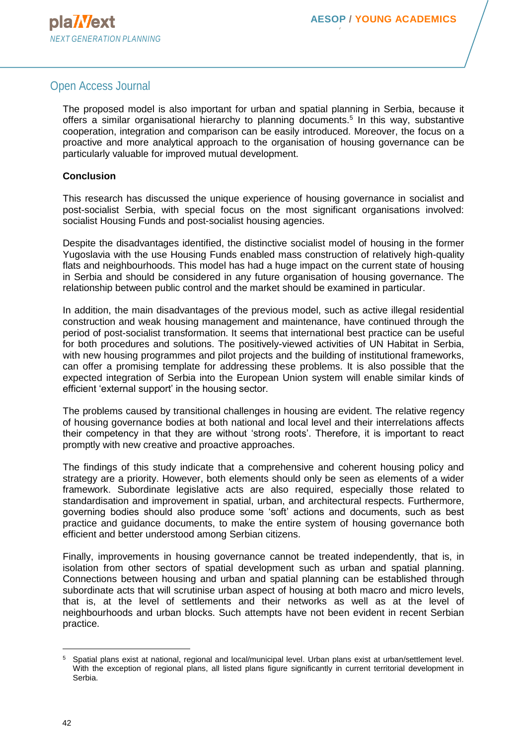## Open Access Journal

The proposed model is also important for urban and spatial planning in Serbia, because it offers a similar organisational hierarchy to planning documents.<sup>5</sup> In this way, substantive cooperation, integration and comparison can be easily introduced. Moreover, the focus on a proactive and more analytical approach to the organisation of housing governance can be particularly valuable for improved mutual development.

#### **Conclusion**

This research has discussed the unique experience of housing governance in socialist and post-socialist Serbia, with special focus on the most significant organisations involved: socialist Housing Funds and post-socialist housing agencies.

Despite the disadvantages identified, the distinctive socialist model of housing in the former Yugoslavia with the use Housing Funds enabled mass construction of relatively high-quality flats and neighbourhoods. This model has had a huge impact on the current state of housing in Serbia and should be considered in any future organisation of housing governance. The relationship between public control and the market should be examined in particular.

In addition, the main disadvantages of the previous model, such as active illegal residential construction and weak housing management and maintenance, have continued through the period of post-socialist transformation. It seems that international best practice can be useful for both procedures and solutions. The positively-viewed activities of UN Habitat in Serbia, with new housing programmes and pilot projects and the building of institutional frameworks, can offer a promising template for addressing these problems. It is also possible that the expected integration of Serbia into the European Union system will enable similar kinds of efficient 'external support' in the housing sector.

The problems caused by transitional challenges in housing are evident. The relative regency of housing governance bodies at both national and local level and their interrelations affects their competency in that they are without 'strong roots'. Therefore, it is important to react promptly with new creative and proactive approaches.

The findings of this study indicate that a comprehensive and coherent housing policy and strategy are a priority. However, both elements should only be seen as elements of a wider framework. Subordinate legislative acts are also required, especially those related to standardisation and improvement in spatial, urban, and architectural respects. Furthermore, governing bodies should also produce some 'soft' actions and documents, such as best practice and guidance documents, to make the entire system of housing governance both efficient and better understood among Serbian citizens.

Finally, improvements in housing governance cannot be treated independently, that is, in isolation from other sectors of spatial development such as urban and spatial planning. Connections between housing and urban and spatial planning can be established through subordinate acts that will scrutinise urban aspect of housing at both macro and micro levels, that is, at the level of settlements and their networks as well as at the level of neighbourhoods and urban blocks. Such attempts have not been evident in recent Serbian practice.

<sup>5</sup> Spatial plans exist at national, regional and local/municipal level. Urban plans exist at urban/settlement level. With the exception of regional plans, all listed plans figure significantly in current territorial development in Serbia.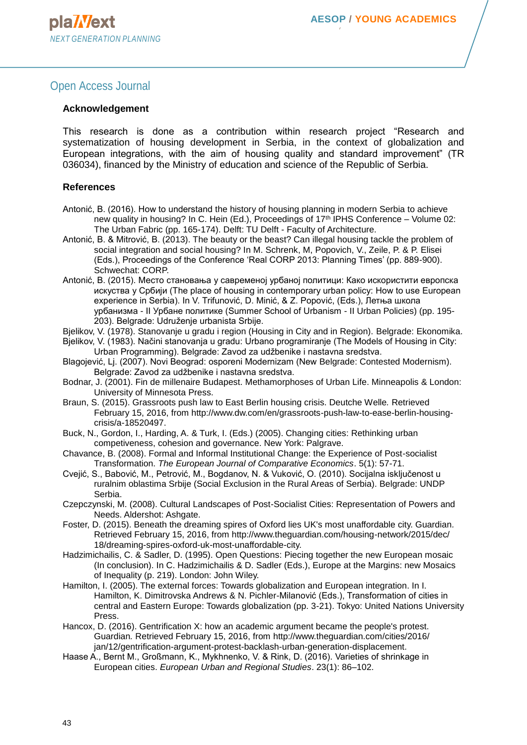## Open Access Journal

#### **Acknowledgement**

This research is done as a contribution within research project "Research and systematization of housing development in Serbia, in the context of globalization and European integrations, with the aim of housing quality and standard improvement" (TR 036034), financed by the Ministry of education and science of the Republic of Serbia.

#### **References**

- Antonić, B. (2016). How to understand the history of housing planning in modern Serbia to achieve new quality in housing? In C. Hein (Ed.), Proceedings of 17<sup>th</sup> IPHS Conference – Volume 02: The Urban Fabric (pp. 165-174). Delft: TU Delft - Faculty of Architecture.
- Antonić, B. & Mitrović, B. (2013). The beauty or the beast? Can illegal housing tackle the problem of social integration and social housing? In M. Schrenk, M, Popovich, V., Zeile, P. & P. Elisei (Eds.), Proceedings of the Conference 'Real CORP 2013: Planning Times' (pp. 889-900). Schwechat: CORP.
- Antonić, B. (2015). Место становања у савременој урбаној политици: Како искористити европска искуства у Србији (The place of housing in contemporary urban policy: How to use European experience in Serbia). In V. Trifunović, D. Minić, & Z. Popović, (Eds.), Летња школа урбанизма - II Урбане политике (Summer School of Urbanism - II Urban Policies) (pp. 195- 203). Belgrade: Udruženje urbanista Srbije.
- Bjelikov, V. (1978). Stanovanje u gradu i region (Housing in City and in Region). Belgrade: Ekonomika.
- Bjelikov, V. (1983). Načini stanovanja u gradu: Urbano programiranje (The Models of Housing in City: Urban Programming). Belgrade: Zavod za udžbenike i nastavna sredstva.
- Blagojević, Lj. (2007). Novi Beograd: osporeni Modernizam (New Belgrade: Contested Modernism). Belgrade: Zavod za udžbenike i nastavna sredstva.
- Bodnar, J. (2001). Fin de millenaire Budapest. Methamorphoses of Urban Life. Minneapolis & London: University of Minnesota Press.
- Braun, S. (2015). Grassroots push law to East Berlin housing crisis. Deutche Welle*.* Retrieved February 15, 2016, from http://www.dw.com/en/grassroots-push-law-to-ease-berlin-housingcrisis/a-18520497.
- Buck, N., Gordon, I., Harding, A. & Turk, I. (Eds.) (2005). Changing cities: Rethinking urban competiveness, cohesion and governance. New York: Palgrave.
- Chavance, B. (2008). Formal and Informal Institutional Change: the Experience of Post-socialist Transformation. *The European Journal of Comparative Economics*. 5(1): 57-71.
- Cvejić, S., Babović, M., Petrović, M., Bogdanov, N. & Vuković, O. (2010). Socijalna isključenost u ruralnim oblastima Srbije (Social Exclusion in the Rural Areas of Serbia). Belgrade: UNDP Serbia.
- Czepczynski, M. (2008). Cultural Landscapes of Post-Socialist Cities: Representation of Powers and Needs. Aldershot: Ashgate.
- Foster, D. (2015). Beneath the dreaming spires of Oxford lies UK's most unaffordable city. Guardian*.* Retrieved February 15, 2016, from http://www.theguardian.com/housing-network/2015/dec/ 18/dreaming-spires-oxford-uk-most-unaffordable-city.
- Hadzimichailis, C. & Sadler, D. (1995). Open Questions: Piecing together the new European mosaic (In conclusion). In C. Hadzimichailis & D. Sadler (Eds.), Europe at the Margins: new Mosaics of Inequality (p. 219). London: John Wiley.
- Hamilton, I. (2005). The external forces: Towards globalization and European integration. In I. Hamilton, K. Dimitrovska Andrews & N. Pichler-Milanović (Eds.), Transformation of cities in central and Eastern Europe: Towards globalization (pp. 3-21). Tokyo: United Nations University Press.
- Hancox, D. (2016). Gentrification X: how an academic argument became the people's protest. Guardian*.* Retrieved February 15, 2016, from<http://www.theguardian.com/cities/2016/> jan/12/gentrification-argument-protest-backlash-urban-generation-displacement.
- Haase A., Bernt M., Großmann, K., Mykhnenko, V. & Rink, D. (2016). Varieties of shrinkage in European cities. *European Urban and Regional Studies*. 23(1): 86–102.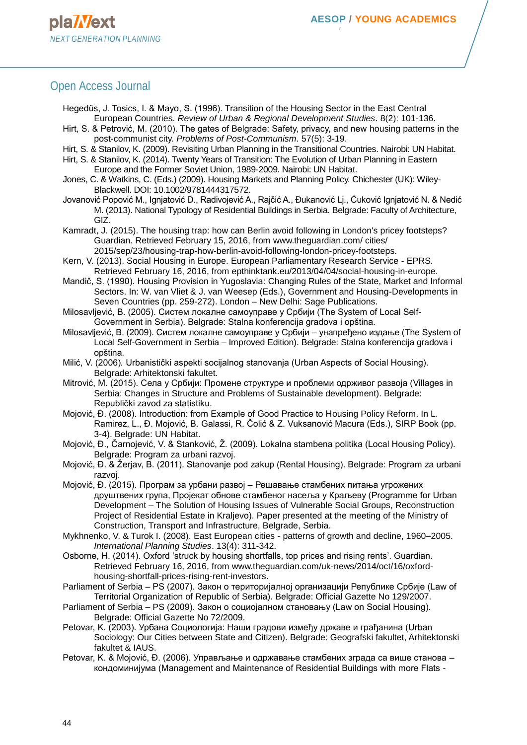## Open Access Journal

- Hegedüs, J. Tosics, I. & Mayo, S. (1996). Transition of the Housing Sector in the East Central European Countries. *Review of Urban & Regional Development Studies*. 8(2): 101-136.
- Hirt, S. & Petrović, M. (2010). The gates of Belgrade: Safety, privacy, and new housing patterns in the post-communist city. *Problems of Post-Communism*. 57(5): 3-19.
- Hirt, S. & Stanilov, K. (2009). Revisiting Urban Planning in the Transitional Countries. Nairobi: UN Habitat.
- Hirt, S. & Stanilov, K. (2014). Twenty Years of Transition: The Evolution of Urban Planning in Eastern Europe and the Former Soviet Union, 1989-2009. Nairobi: UN Habitat.
- Jones, C. & Watkins, C. (Eds.) (2009). Housing Markets and Planning Policy. Chichester (UK): Wiley-Blackwell. DOI: 10.1002/9781444317572.
- Jovanović Popović M., Ignjatović D., Radivojević A., Rajčić A., Đukanović Lj., Ćuković Ignjatović N. & Nedić M. (2013). National Typology of Residential Buildings in Serbia. Belgrade: Faculty of Architecture, GIZ.

Kamradt, J. (2015). The housing trap: how can Berlin avoid following in London's pricey footsteps? Guardian*.* Retrieved February 15, 2016, from [www.theguardian.com/ cities/](http://www.theguardian.com/%20cities/) 2015/sep/23/housing-trap-how-berlin-avoid-following-london-pricey-footsteps.

- Kern, V. (2013). Social Housing in Europe. European Parliamentary Research Service EPRS*.* Retrieved February 16, 2016, from epthinktank.eu/2013/04/04/social-housing-in-europe.
- Mandič, S. (1990). Housing Provision in Yugoslavia: Changing Rules of the State, Market and Informal Sectors. In: W. van Vliet & J. van Weesep (Eds.), Government and Housing-Developments in Seven Countries (pp. 259-272). London – New Delhi: Sage Publications.
- Milosavljević, B. (2005). Систем локалне самоуправе у Србији (The System of Local Self-Government in Serbia). Belgrade: Stalna konferencija gradova i opština.
- Milosavljević, B. (2009). Систем локалне самоуправе у Србији унапређено издање (The System of Local Self-Government in Serbia – Improved Edition). Belgrade: Stalna konferencija gradova i opština.
- Milić, V. (2006)*.* Urbanistički aspekti socijalnog stanovanja (Urban Aspects of Social Housing). Belgrade: Arhitektonski fakultet.
- Mitrović, M. (2015). Села у Србији: Промене структуре и проблеми одрживог развоја (Villages in Serbia: Changes in Structure and Problems of Sustainable development). Belgrade: Republički zavod za statistiku.
- Mojović, Đ. (2008). Introduction: from Example of Good Practice to Housing Policy Reform. In L. Ramirez, L., Đ. Mojović, B. Galassi, R. Čolić & Z. Vuksanović Macura (Eds.), SIRP Book (pp. 3-4). Belgrade: UN Habitat.
- Mojović, Đ., Čarnojević, V. & Stanković, Ž. (2009). Lokalna stambena politika (Local Housing Policy). Belgrade: Program za urbani razvoj.
- Mojović, Đ. & Žerjav, B. (2011). Stanovanje pod zakup (Rental Housing). Belgrade: Program za urbani razvoj.
- Mojović, Đ. (2015). Програм за урбани развој Решавање стамбених питања угрожених друштвених група, Пројекат обнове стамбеног насеља у Краљеву (Programme for Urban Development – The Solution of Housing Issues of Vulnerable Social Groups, Reconstruction Project of Residential Estate in Kraljevo). Paper presented at the meeting of the Ministry of Construction, Transport and Infrastructure, Belgrade, Serbia.
- Mykhnenko, V. & Turok I. (2008). East European cities [patterns of growth and decline, 1960–2005.](https://scholar.google.com/citations?view_op=view_citation&hl=sr&user=ZA32ccMAAAAJ&citation_for_view=ZA32ccMAAAAJ:2osOgNQ5qMEC) *International Planning Studies*. 13(4): 311-342.
- Osborne, H. (2014). Oxford 'struck by housing shortfalls, top prices and rising rents'. Guardian*.* Retrieved February 16, 2016, [from www.theguardian.com/uk-news/2014/oct/16/oxford](http://www.theguardian.com/uk-news/2014/oct/16/oxford-housing-shortfall-prices-rising-rent-investors)[housing-shortfall-prices-rising-rent-investors.](http://www.theguardian.com/uk-news/2014/oct/16/oxford-housing-shortfall-prices-rising-rent-investors)
- Parliament of Serbia PS (2007). Закон о територијалној организацији Републике Србије (Law of Territorial Organization of Republic of Serbia). Belgrade: Official Gazette No 129/2007.
- Parliament of Serbia PS (2009). Закон о социојалном становању (Law on Social Housing). Belgrade: Official Gazette No 72/2009.
- Petovar, K. (2003). Урбана Социологија: Наши градови између државе и грађанина (Urban Sociology: Our Cities between State and Citizen). Belgrade: Geografski fakultet, Arhitektonski fakultet & IAUS.
- Petovar, K. & Mojović, Đ. (2006). Управљање и одржавање стамбених зграда са више станова кондоминијума (Management and Maintenance of Residential Buildings with more Flats -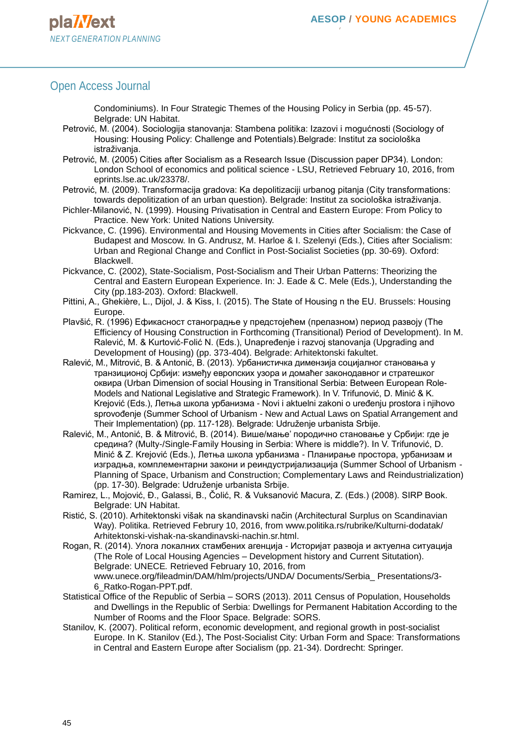## Open Access Journal

Condominiums). In Four Strategic Themes of the Housing Policy in Serbia (pp. 45-57). Belgrade: UN Habitat.

- Petrović, M. (2004). Sociologija stanovanja: Stambena politika: Izazovi i mogućnosti (Sociology of Housing: Housing Policy: Challenge and Potentials).Belgrade: Institut za sociološka istraživanja.
- Petrović, M. (2005) Cities after Socialism as a Research Issue (Discussion paper DP34). London: London School of economics and political science - LSU, Retrieved February 10, 2016, from eprints.lse.ac.uk/23378/.
- Petrović, M. (2009). Transformacija gradova: Ka depolitizaciji urbanog pitanja (City transformations: towards depolitization of an urban question). Belgrade: Institut za sociološka istraživanja.
- [Pichler-Milanović,](https://www.google.rs/search?hl=sr&tbo=p&tbm=bks&q=inauthor:%22Nata%C5%A1a+Pichler-Milanovi%C4%87%22) N. (1999). Housing Privatisation in Central and Eastern Europe: From Policy to Practice. New York: United Nations University.
- Pickvance, C. (1996). Environmental and Housing Movements in Cities after Socialism: the Case of Budapest and Moscow. In G. Andrusz, M. Harloe & I. Szelenyi (Eds.), Cities after Socialism: Urban and Regional Change and Conflict in Post-Socialist Societies (pp. 30-69). Oxford: Blackwell.
- Pickvance, C. (2002), State-Socialism, Post-Socialism and Their Urban Patterns: Theorizing the Central and Eastern European Experience. In: J. Eade & C. Mele (Eds.), Understanding the City (pp.183-203). Oxford: Blackwell.
- Pittini, A., Ghekière, L., Dijol, J. & Kiss, I. (2015). The State of Housing n the EU. Brussels: Housing Europe.
- Plavšić, R. (1996) Ефикасност станоградње у предстојећем (прелазном) период развоју (The Efficiency of Housing Construction in Forthcoming (Transitional) Period of Development). In M. Ralević, M. & Kurtović-Folić N. (Eds.), Unapređenje i razvoj stanovanja (Upgrading and Development of Housing) (pp. 373-404). Belgrade: Arhitektonski fakultet.
- Ralević, M., Mitrović, B. & Antonić, B. (2013). Урбанистичка димензија социјалног становања у транзиционој Србији: између европских узора и домаћег законодавног и стратешког оквира (Urban Dimension of social Housing in Transitional Serbia: Between European Role-Models and National Legislative and Strategic Framework). In V. Trifunović, D. Minić & K. Krejović (Eds.), Летња школа урбанизма - Novi i aktuelni zakoni o uređenju prostora i njihovo sprovođenje (Summer School of Urbanism - New and Actual Laws on Spatial Arrangement and Their Implementation) (pp. 117-128). Belgrade: Udruženje urbanista Srbije.
- Ralević, M., Antonić, B. & Mitrović, B. (2014). Више/мање' породично становање у Србији: где је средина? (Multy-/Single-Family Housing in Serbia: Where is middle?). In V. Trifunović, D. Minić & Z. Krejović (Eds.), Летња школа урбанизма - Планирање простора, урбанизам и изградња, комплементарни закони и реиндустријализација (Summer School of Urbanism - Planning of Space, Urbanism and Construction; Complementary Laws and Reindustrialization) (pp. 17-30). Belgrade: Udruženje urbanista Srbije.
- Ramirez, L., Mojović, Đ., Galassi, B., Čolić, R. & Vuksanović Macura, Z. (Eds.) (2008). SIRP Book. Belgrade: UN Habitat.
- Ristić, S. (2010). Arhitektonski višak na skandinavski način (Architectural Surplus on Scandinavian Way). Politika. Retrieved Februry 10, 2016, [from www.politika.rs/rubrike/Kulturni-dodatak/](http://www.politika.rs/rubrike/Kulturni-dodatak/) Arhitektonski-vishak-na-skandinavski-nachin.sr.html.
- Rogan, R. (2014). Улога локалних стамбених агенција Историјат развоја и актуелна ситуација (The Role of Local Housing Agencies – Development history and Current Situtation). Belgrade: UNECE*.* Retrieved February 10, 2016, from www.unece.org/fileadmin/DAM/hlm/projects/UNDA/ Documents/Serbia\_ Presentations/3- 6\_Ratko-Rogan-PPT.pdf.
- Statistical Office of the Republic of Serbia SORS (2013). 2011 Census of Population, Households and Dwellings in the Republic of Serbia: Dwellings for Permanent Habitation According to the Number of Rooms and the Floor Space. Belgrade: SORS.
- Stanilov, K. (2007). Political reform, economic development, and regional growth in post-socialist Europe. In K. Stanilov (Ed.), The Post-Socialist City: Urban Form and Space: Transformations in Central and Eastern Europe after Socialism (pp. 21-34). Dordrecht: Springer.